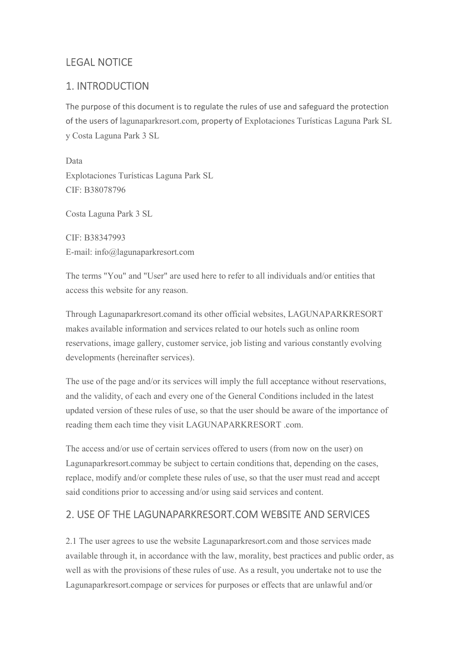## LEGAL NOTICE

## 1. INTRODUCTION

The purpose of this document is to regulate the rules of use and safeguard the protection of the users of lagunaparkresort.com, property of Explotaciones Turísticas Laguna Park SL y Costa Laguna Park 3 SL

Data Explotaciones Turísticas Laguna Park SL CIF: B38078796

Costa Laguna Park 3 SL

CIF: B38347993 E-mail: info@lagunaparkresort.com

The terms "You" and "User" are used here to refer to all individuals and/or entities that access this website for any reason.

Through Lagunaparkresort.comand its other official websites, LAGUNAPARKRESORT makes available information and services related to our hotels such as online room reservations, image gallery, customer service, job listing and various constantly evolving developments (hereinafter services).

The use of the page and/or its services will imply the full acceptance without reservations, and the validity, of each and every one of the General Conditions included in the latest updated version of these rules of use, so that the user should be aware of the importance of reading them each time they visit LAGUNAPARKRESORT .com.

The access and/or use of certain services offered to users (from now on the user) on Lagunaparkresort.commay be subject to certain conditions that, depending on the cases, replace, modify and/or complete these rules of use, so that the user must read and accept said conditions prior to accessing and/or using said services and content.

### 2. USE OF THE LAGUNAPARKRESORT.COM WEBSITE AND SERVICES

2.1 The user agrees to use the website Lagunaparkresort.com and those services made available through it, in accordance with the law, morality, best practices and public order, as well as with the provisions of these rules of use. As a result, you undertake not to use the Lagunaparkresort.compage or services for purposes or effects that are unlawful and/or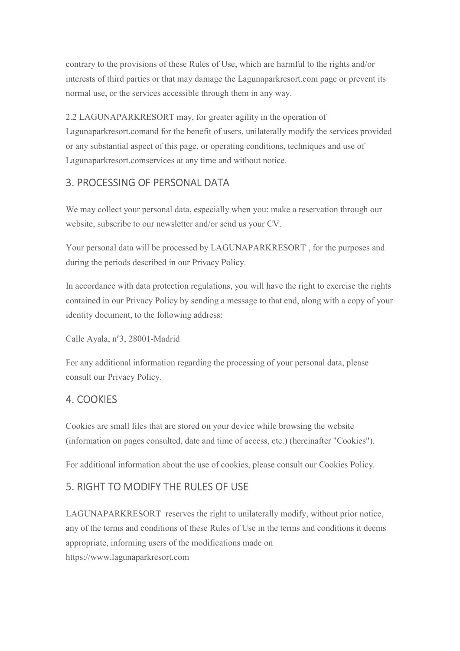contrary to the provisions of these Rules of Use, which are harmful to the rights and/or interests of third parties or that may damage the Lagunaparkresort.com page or prevent its normal use, or the services accessible through them in any way.

2.2 LAGUNAPARKRESORT may, for greater agility in the operation of Lagunaparkresort.comand for the benefit of users, unilaterally modify the services provided or any substantial aspect of this page, or operating conditions, techniques and use of Lagunaparkresort.comservices at any time and without notice.

## 3. PROCESSING OF PERSONAL DATA

We may collect your personal data, especially when you: make a reservation through our website, subscribe to our newsletter and/or send us your CV.

Your personal data will be processed by LAGUNAPARKRESORT , for the purposes and during the periods described in our Privacy Policy.

In accordance with data protection regulations, you will have the right to exercise the rights contained in our Privacy Policy by sending a message to that end, along with a copy of your identity document, to the following address:

Calle Ayala, nº3, 28001-Madrid

For any additional information regarding the processing of your personal data, please consult our Privacy Policy.

### 4. COOKIES

Cookies are small files that are stored on your device while browsing the website (information on pages consulted, date and time of access, etc.) (hereinafter "Cookies").

For additional information about the use of cookies, please consult our Cookies Policy.

## 5. RIGHT TO MODIFY THE RULES OF USE

LAGUNAPARKRESORT reserves the right to unilaterally modify, without prior notice, any of the terms and conditions of these Rules of Use in the terms and conditions it deems appropriate, informing users of the modifications made on https://www.lagunaparkresort.com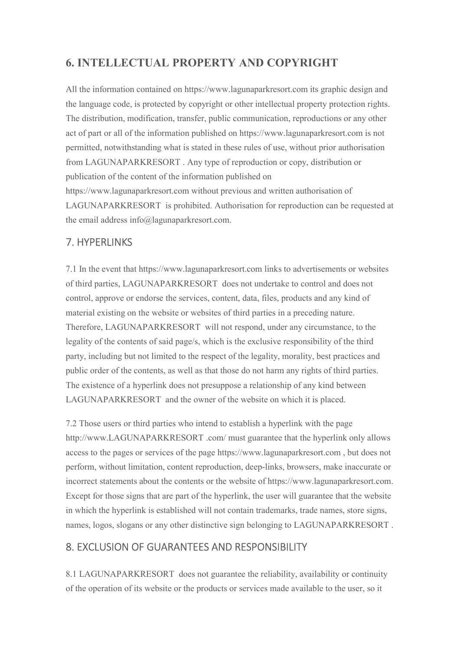# 6. INTELLECTUAL PROPERTY AND COPYRIGHT

All the information contained on https://www.lagunaparkresort.com its graphic design and the language code, is protected by copyright or other intellectual property protection rights. The distribution, modification, transfer, public communication, reproductions or any other act of part or all of the information published on https://www.lagunaparkresort.com is not permitted, notwithstanding what is stated in these rules of use, without prior authorisation from LAGUNAPARKRESORT . Any type of reproduction or copy, distribution or publication of the content of the information published on https://www.lagunaparkresort.com without previous and written authorisation of LAGUNAPARKRESORT is prohibited. Authorisation for reproduction can be requested at the email address info@lagunaparkresort.com.

### 7. HYPERLINKS

7.1 In the event that https://www.lagunaparkresort.com links to advertisements or websites of third parties, LAGUNAPARKRESORT does not undertake to control and does not control, approve or endorse the services, content, data, files, products and any kind of material existing on the website or websites of third parties in a preceding nature. Therefore, LAGUNAPARKRESORT will not respond, under any circumstance, to the legality of the contents of said page/s, which is the exclusive responsibility of the third party, including but not limited to the respect of the legality, morality, best practices and public order of the contents, as well as that those do not harm any rights of third parties. The existence of a hyperlink does not presuppose a relationship of any kind between LAGUNAPARKRESORT and the owner of the website on which it is placed.

7.2 Those users or third parties who intend to establish a hyperlink with the page http://www.LAGUNAPARKRESORT .com/ must guarantee that the hyperlink only allows access to the pages or services of the page https://www.lagunaparkresort.com , but does not perform, without limitation, content reproduction, deep-links, browsers, make inaccurate or incorrect statements about the contents or the website of https://www.lagunaparkresort.com. Except for those signs that are part of the hyperlink, the user will guarantee that the website in which the hyperlink is established will not contain trademarks, trade names, store signs, names, logos, slogans or any other distinctive sign belonging to LAGUNAPARKRESORT .

### 8. EXCLUSION OF GUARANTEES AND RESPONSIBILITY

8.1 LAGUNAPARKRESORT does not guarantee the reliability, availability or continuity of the operation of its website or the products or services made available to the user, so it